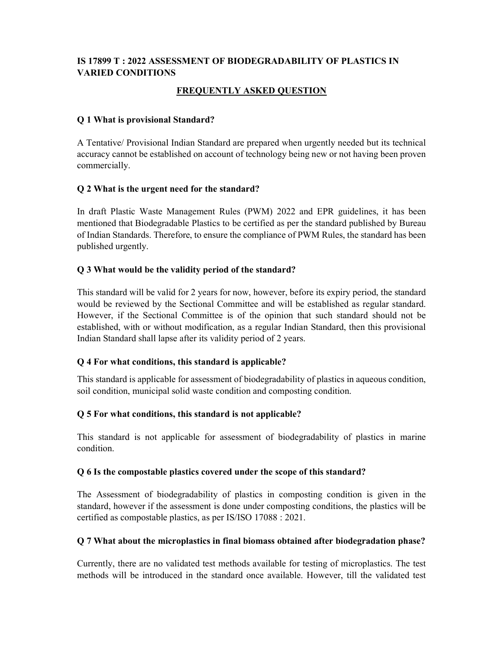# IS 17899 T : 2022 ASSESSMENT OF BIODEGRADABILITY OF PLASTICS IN VARIED CONDITIONS

# FREQUENTLY ASKED QUESTION

### Q 1 What is provisional Standard?

A Tentative/ Provisional Indian Standard are prepared when urgently needed but its technical accuracy cannot be established on account of technology being new or not having been proven commercially.

#### Q 2 What is the urgent need for the standard?

In draft Plastic Waste Management Rules (PWM) 2022 and EPR guidelines, it has been mentioned that Biodegradable Plastics to be certified as per the standard published by Bureau of Indian Standards. Therefore, to ensure the compliance of PWM Rules, the standard has been published urgently.

### Q 3 What would be the validity period of the standard?

This standard will be valid for 2 years for now, however, before its expiry period, the standard would be reviewed by the Sectional Committee and will be established as regular standard. However, if the Sectional Committee is of the opinion that such standard should not be established, with or without modification, as a regular Indian Standard, then this provisional Indian Standard shall lapse after its validity period of 2 years.

### Q 4 For what conditions, this standard is applicable?

This standard is applicable for assessment of biodegradability of plastics in aqueous condition, soil condition, municipal solid waste condition and composting condition.

### Q 5 For what conditions, this standard is not applicable?

This standard is not applicable for assessment of biodegradability of plastics in marine condition.

#### Q 6 Is the compostable plastics covered under the scope of this standard?

The Assessment of biodegradability of plastics in composting condition is given in the standard, however if the assessment is done under composting conditions, the plastics will be certified as compostable plastics, as per IS/ISO 17088 : 2021.

### Q 7 What about the microplastics in final biomass obtained after biodegradation phase?

Currently, there are no validated test methods available for testing of microplastics. The test methods will be introduced in the standard once available. However, till the validated test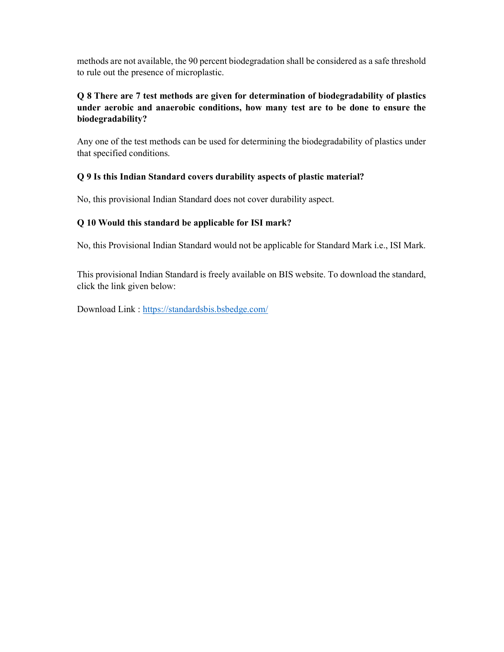methods are not available, the 90 percent biodegradation shall be considered as a safe threshold to rule out the presence of microplastic.

# Q 8 There are 7 test methods are given for determination of biodegradability of plastics under aerobic and anaerobic conditions, how many test are to be done to ensure the biodegradability?

Any one of the test methods can be used for determining the biodegradability of plastics under that specified conditions.

# Q 9 Is this Indian Standard covers durability aspects of plastic material?

No, this provisional Indian Standard does not cover durability aspect.

### Q 10 Would this standard be applicable for ISI mark?

No, this Provisional Indian Standard would not be applicable for Standard Mark i.e., ISI Mark.

This provisional Indian Standard is freely available on BIS website. To download the standard, click the link given below:

Download Link : https://standardsbis.bsbedge.com/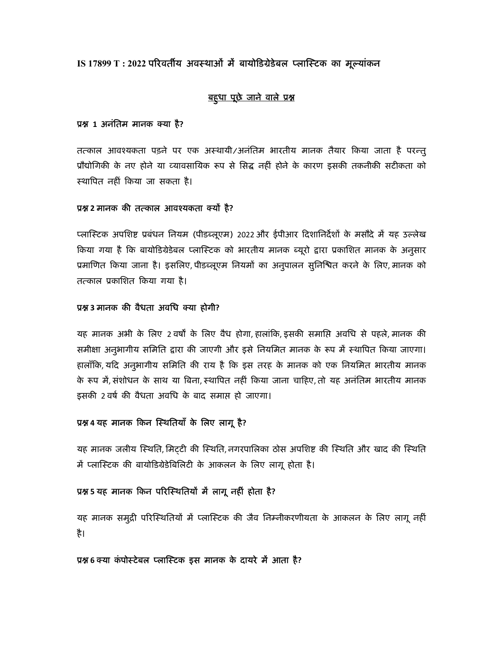# IS 17899 T : 2022 परिवर्तीय अवस्थाओं में बायोडिग्रेडेबल प्लास्टिक का मूल्यांकन

### बहुधा पूछे जाने वाले प्रश्न

#### प्रश्न 1 अनंतिम मानक क्या है?

तत्काल आवश्यकता पड़ने पर एक अस्थायी/अनंतिम भारतीय मानक तैयार किया जाता है परन्तु प्रौद्योगिकी के नए होने या व्यावसायिक रूप से सिद्ध नहीं होने के कारण इसकी तकनीकी सटीकता को स्थापित नहीं किया जा सकता है।

#### प्रश्न 2 मानक की तत्काल आवश्यकता क्यों है?

प्लास्टिक अपशिष्ट प्रबंधन नियम (पीडब्लूएम) 2022 और ईपीआर दिशानिर्देशों के मसौदे में यह उल्लेख किया गया है कि बायोडिग्रेडेबल प्लास्टिक को भारतीय मानक ब्यूरो द्वारा प्रकाशित मानक के अनुसार प्रमाणित किया जाना है। इसलिए, पीडब्लूएम नियमों का अनुपालन सुनिश्चित करने के लिए, मानक को तत्काल प्रकाशित किया गया है।

#### प्रश्न 3 मानक की वैधता अवधि क्या होगी?

यह मानक अभी के लिए 2 वर्षों के लिए वैध होगा, हालांकि, इसकी समाप्ति अवधि से पहले, मानक की समीक्षा अनुभागीय समिति द्वारा की जाएगी और इसे नियमित मानक के रूप में स्थापित किया जाएगा। हालाँकि, यदि अनुभागीय समिति की राय है कि इस तरह के मानक को एक नियमित भारतीय मानक के रूप में, संशोधन के साथ या बिना, स्थापित नहीं किया जाना चाहिए, तो यह अनंतिम भारतीय मानक इसकी 2 वर्ष की वैधता अवधि के बाद समाप्त हो जाएगा।

#### प्रश्न 4 यह मानक किन स्थितियाँ के लिए लागू है?

यह मानक जलीय स्थिति, मिट्टी की स्थिति, नगरपालिका ठोस अपशिष्ट की स्थिति और खाद की स्थिति मैं प्लास्टिक की बायोडिग्रेडेबिलिटी के आकलन के लिए लागू होता है।

#### प्रश्न 5 यह मानक किन परिस्थितियों में लागू नहीं होता है?

यह मानक समुद्री परिस्थितियों में प्लास्टिक की जैव निम्नीकरणीयता के आकलन के लिए लागू नहीं है।

प्रश्न 6 क्या कंपोस्टेबल प्लास्टिक इस मानक के दायरे में आता है?